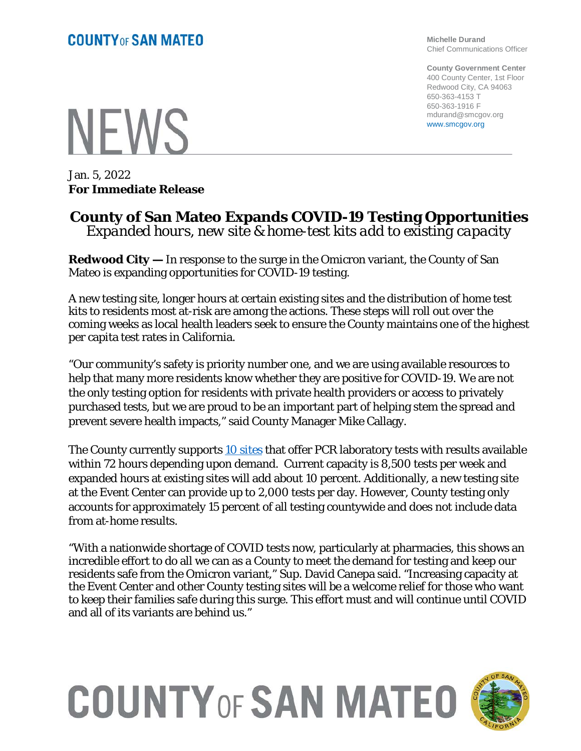**Michelle Durand** Chief Communications Officer

**County Government Center** 400 County Center, 1st Floor Redwood City, CA 94063 650-363-4153 T 650-363-1916 F mdurand@smcgov.org www.smcgov.org

# **NEWS**

Jan. 5, 2022 **For Immediate Release**

### **County of San Mateo Expands COVID-19 Testing Opportunities** *Expanded hours, new site & home-test kits add to existing capacity*

**Redwood City —** In response to the surge in the Omicron variant, the County of San Mateo is expanding opportunities for COVID-19 testing.

A new testing site, longer hours at certain existing sites and the distribution of home test kits to residents most at-risk are among the actions. These steps will roll out over the coming weeks as local health leaders seek to ensure the County maintains one of the highest per capita test rates in California.

"Our community's safety is priority number one, and we are using available resources to help that many more residents know whether they are positive for COVID-19. We are not the only testing option for residents with private health providers or access to privately purchased tests, but we are proud to be an important part of helping stem the spread and prevent severe health impacts," said County Manager Mike Callagy.

The County currently supports [10 sites](https://www.smcgov.org/testing) that offer PCR laboratory tests with results available within 72 hours depending upon demand. Current capacity is 8,500 tests per week and expanded hours at existing sites will add about 10 percent. Additionally, a new testing site at the Event Center can provide up to 2,000 tests per day. However, County testing only accounts for approximately 15 percent of all testing countywide and does not include data from at-home results.

"With a nationwide shortage of COVID tests now, particularly at pharmacies, this shows an incredible effort to do all we can as a County to meet the demand for testing and keep our residents safe from the Omicron variant," Sup. David Canepa said. "Increasing capacity at the Event Center and other County testing sites will be a welcome relief for those who want to keep their families safe during this surge. This effort must and will continue until COVID and all of its variants are behind us."

# **COUNTY OF SAN MATEO**

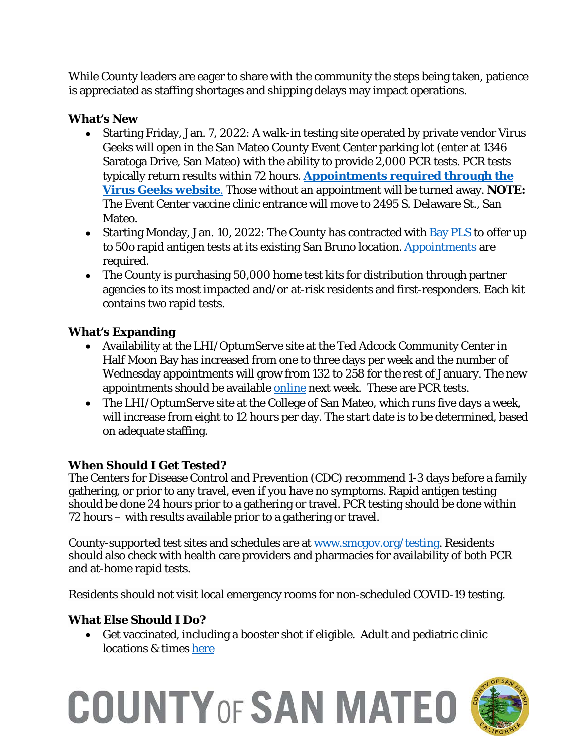While County leaders are eager to share with the community the steps being taken, patience is appreciated as staffing shortages and shipping delays may impact operations.

#### **What's New**

- Starting Friday, Jan. 7, 2022: A walk-in testing site operated by private vendor Virus Geeks will open in the San Mateo County Event Center parking lot (enter at 1346 Saratoga Drive, San Mateo) with the ability to provide 2,000 PCR tests. PCR tests typically return results within 72 hours. **[Appointments required](https://my.virusgeeks.com/) through the [Virus Geeks website](https://my.virusgeeks.com/)**. Those without an appointment will be turned away. **NOTE:** The Event Center vaccine clinic entrance will move to 2495 S. Delaware St., San Mateo.
- Starting Monday, Jan. 10, 2022: The County has contracted with  $\underline{Bay\,PLS}$  to offer up to 50o rapid antigen tests at its existing San Bruno location. [Appointments](https://bayareapls.com/book-online/) are required.
- The County is purchasing 50,000 home test kits for distribution through partner agencies to its most impacted and/or at-risk residents and first-responders. Each kit contains two rapid tests.

#### **What's Expanding**

- Availability at the LHI/OptumServe site at the Ted Adcock Community Center in Half Moon Bay has increased from one to three days per week and the number of Wednesday appointments will grow from 132 to 258 for the rest of January. The new appointments should be available [online](https://lhi.care/covidtesting) next week. These are PCR tests.
- The LHI/OptumServe site at the College of San Mateo, which runs five days a week, will increase from eight to 12 hours per day. The start date is to be determined, based on adequate staffing.

#### **When Should I Get Tested?**

The Centers for Disease Control and Prevention (CDC) recommend 1-3 days before a family gathering, or prior to any travel, even if you have no symptoms. Rapid antigen testing should be done 24 hours prior to a gathering or travel. PCR testing should be done within 72 hours – with results available prior to a gathering or travel.

County-supported test sites and schedules are at [www.smcgov.org/testing.](http://www.smcgov.org/testing) Residents should also check with health care providers and pharmacies for availability of both PCR and at-home rapid tests.

Residents should not visit local emergency rooms for non-scheduled COVID-19 testing.

#### **What Else Should I Do?**

• Get vaccinated, including a booster shot if eligible. Adult and pediatric clinic locations & times [here](https://www.smchealth.org/vaccine-clinic-calendar)